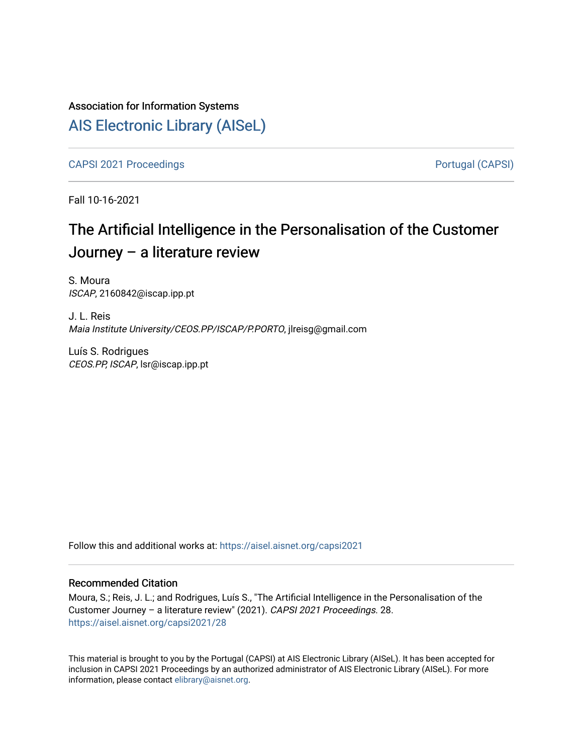# Association for Information Systems

# [AIS Electronic Library \(AISeL\)](https://aisel.aisnet.org/)

[CAPSI 2021 Proceedings](https://aisel.aisnet.org/capsi2021) **Portugal (CAPSI)** Portugal (CAPSI)

Fall 10-16-2021

# The Artificial Intelligence in the Personalisation of the Customer Journey – a literature review

S. Moura ISCAP, 2160842@iscap.ipp.pt

J. L. Reis Maia Institute University/CEOS.PP/ISCAP/P.PORTO, jlreisg@gmail.com

Luís S. Rodrigues CEOS.PP, ISCAP, lsr@iscap.ipp.pt

Follow this and additional works at: [https://aisel.aisnet.org/capsi2021](https://aisel.aisnet.org/capsi2021?utm_source=aisel.aisnet.org%2Fcapsi2021%2F28&utm_medium=PDF&utm_campaign=PDFCoverPages)

#### Recommended Citation

Moura, S.; Reis, J. L.; and Rodrigues, Luís S., "The Artificial Intelligence in the Personalisation of the Customer Journey – a literature review" (2021). CAPSI 2021 Proceedings. 28. [https://aisel.aisnet.org/capsi2021/28](https://aisel.aisnet.org/capsi2021/28?utm_source=aisel.aisnet.org%2Fcapsi2021%2F28&utm_medium=PDF&utm_campaign=PDFCoverPages) 

This material is brought to you by the Portugal (CAPSI) at AIS Electronic Library (AISeL). It has been accepted for inclusion in CAPSI 2021 Proceedings by an authorized administrator of AIS Electronic Library (AISeL). For more information, please contact [elibrary@aisnet.org.](mailto:elibrary@aisnet.org%3E)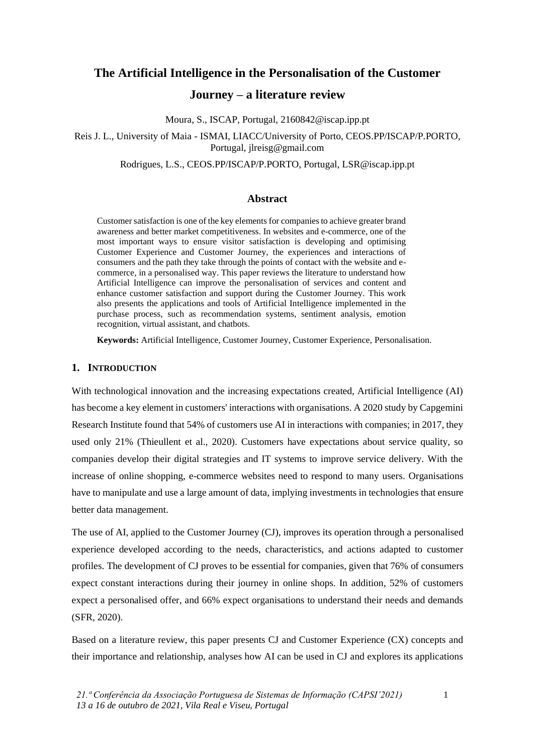# **The Artificial Intelligence in the Personalisation of the Customer Journey – a literature review**

Moura, S., ISCAP, Portugal, 2160842@iscap.ipp.pt

Reis J. L., University of Maia - ISMAI, LIACC/University of Porto, CEOS.PP/ISCAP/P.PORTO, Portugal, jlreisg@gmail.com

Rodrigues, L.S., CEOS.PP/ISCAP/P.PORTO, Portugal, LSR@iscap.ipp.pt

# **Abstract**

Customer satisfaction is one of the key elements for companies to achieve greater brand awareness and better market competitiveness. In websites and e-commerce, one of the most important ways to ensure visitor satisfaction is developing and optimising Customer Experience and Customer Journey, the experiences and interactions of consumers and the path they take through the points of contact with the website and ecommerce, in a personalised way. This paper reviews the literature to understand how Artificial Intelligence can improve the personalisation of services and content and enhance customer satisfaction and support during the Customer Journey. This work also presents the applications and tools of Artificial Intelligence implemented in the purchase process, such as recommendation systems, sentiment analysis, emotion recognition, virtual assistant, and chatbots.

**Keywords:** Artificial Intelligence, Customer Journey, Customer Experience, Personalisation.

# **1. INTRODUCTION**

With technological innovation and the increasing expectations created, Artificial Intelligence (AI) has become a key element in customers' interactions with organisations. A 2020 study by Capgemini Research Institute found that 54% of customers use AI in interactions with companies; in 2017, they used only 21% (Thieullent et al., 2020). Customers have expectations about service quality, so companies develop their digital strategies and IT systems to improve service delivery. With the increase of online shopping, e-commerce websites need to respond to many users. Organisations have to manipulate and use a large amount of data, implying investments in technologies that ensure better data management.

The use of AI, applied to the Customer Journey (CJ), improves its operation through a personalised experience developed according to the needs, characteristics, and actions adapted to customer profiles. The development of CJ proves to be essential for companies, given that 76% of consumers expect constant interactions during their journey in online shops. In addition, 52% of customers expect a personalised offer, and 66% expect organisations to understand their needs and demands (SFR, 2020).

Based on a literature review, this paper presents CJ and Customer Experience (CX) concepts and their importance and relationship, analyses how AI can be used in CJ and explores its applications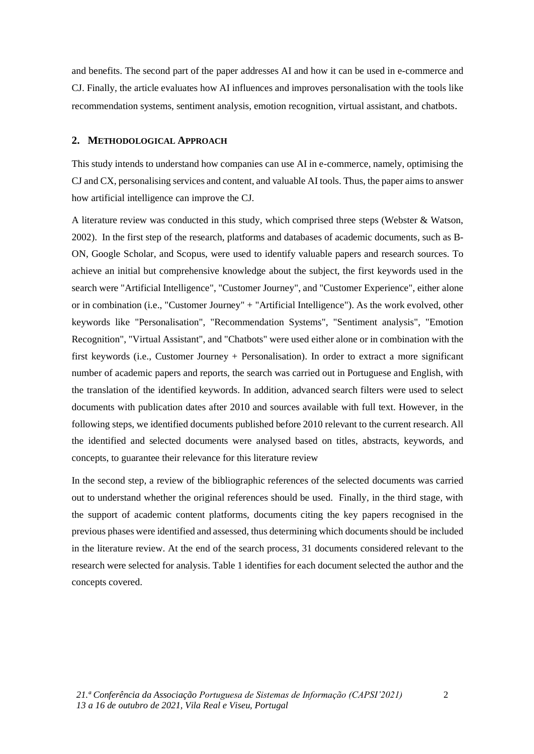and benefits. The second part of the paper addresses AI and how it can be used in e-commerce and CJ. Finally, the article evaluates how AI influences and improves personalisation with the tools like recommendation systems, sentiment analysis, emotion recognition, virtual assistant, and chatbots.

#### **2. METHODOLOGICAL APPROACH**

This study intends to understand how companies can use AI in e-commerce, namely, optimising the CJ and CX, personalising services and content, and valuable AI tools. Thus, the paper aims to answer how artificial intelligence can improve the CJ.

A literature review was conducted in this study, which comprised three steps (Webster & Watson, 2002). In the first step of the research, platforms and databases of academic documents, such as B-ON, Google Scholar, and Scopus, were used to identify valuable papers and research sources. To achieve an initial but comprehensive knowledge about the subject, the first keywords used in the search were "Artificial Intelligence", "Customer Journey", and "Customer Experience", either alone or in combination (i.e., "Customer Journey" + "Artificial Intelligence"). As the work evolved, other keywords like "Personalisation", "Recommendation Systems", "Sentiment analysis", "Emotion Recognition", "Virtual Assistant", and "Chatbots" were used either alone or in combination with the first keywords (i.e., Customer Journey + Personalisation). In order to extract a more significant number of academic papers and reports, the search was carried out in Portuguese and English, with the translation of the identified keywords. In addition, advanced search filters were used to select documents with publication dates after 2010 and sources available with full text. However, in the following steps, we identified documents published before 2010 relevant to the current research. All the identified and selected documents were analysed based on titles, abstracts, keywords, and concepts, to guarantee their relevance for this literature review

In the second step, a review of the bibliographic references of the selected documents was carried out to understand whether the original references should be used. Finally, in the third stage, with the support of academic content platforms, documents citing the key papers recognised in the previous phases were identified and assessed, thus determining which documents should be included in the literature review. At the end of the search process, 31 documents considered relevant to the research were selected for analysis. Table 1 identifies for each document selected the author and the concepts covered.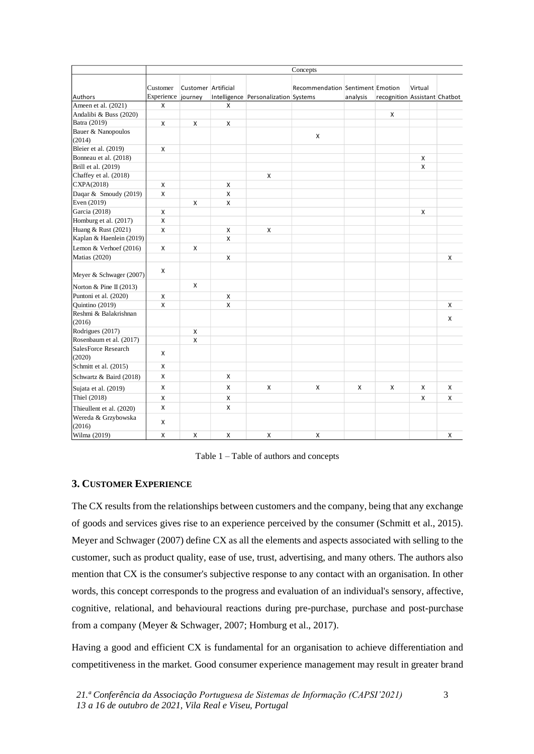|                                 | Concepts               |                                |   |                                      |                                  |          |                               |         |   |
|---------------------------------|------------------------|--------------------------------|---|--------------------------------------|----------------------------------|----------|-------------------------------|---------|---|
| Authors                         | Customer<br>Experience | Customer Artificial<br>journey |   | Intelligence Personalization Systems | Recommendation Sentiment Emotion | analysis | recognition Assistant Chatbot | Virtual |   |
| Ameen et al. (2021)             | X                      |                                | X |                                      |                                  |          |                               |         |   |
| Andalibi & Buss (2020)          |                        |                                |   |                                      |                                  |          | X                             |         |   |
| Batra (2019)                    | X                      | X                              | X |                                      |                                  |          |                               |         |   |
| Bauer & Nanopoulos<br>(2014)    |                        |                                |   |                                      | x                                |          |                               |         |   |
| Bleier et al. (2019)            | X                      |                                |   |                                      |                                  |          |                               |         |   |
| Bonneau et al. (2018)           |                        |                                |   |                                      |                                  |          |                               | X       |   |
| Brill et al. (2019)             |                        |                                |   |                                      |                                  |          |                               | X       |   |
| Chaffey et al. (2018)           |                        |                                |   | x                                    |                                  |          |                               |         |   |
| CXPA(2018)                      | X                      |                                | X |                                      |                                  |          |                               |         |   |
| Daqar & Smoudy (2019)           | $\mathsf{x}$           |                                | X |                                      |                                  |          |                               |         |   |
| Even $(2019)$                   |                        | X                              | X |                                      |                                  |          |                               |         |   |
| Garcia (2018)                   | x                      |                                |   |                                      |                                  |          |                               | X       |   |
| Homburg et al. (2017)           | X                      |                                |   |                                      |                                  |          |                               |         |   |
| Huang & Rust (2021)             | X                      |                                | X | x                                    |                                  |          |                               |         |   |
| Kaplan & Haenlein (2019)        |                        |                                | X |                                      |                                  |          |                               |         |   |
| Lemon & Verhoef $(2016)$        | X                      | X                              |   |                                      |                                  |          |                               |         |   |
| Matias (2020)                   |                        |                                | X |                                      |                                  |          |                               |         | X |
| Meyer & Schwager (2007)         | x                      |                                |   |                                      |                                  |          |                               |         |   |
| Norton & Pine II (2013)         |                        | X                              |   |                                      |                                  |          |                               |         |   |
| Puntoni et al. (2020)           | X                      |                                | X |                                      |                                  |          |                               |         |   |
| Quintino (2019)                 | $\mathsf{x}$           |                                | x |                                      |                                  |          |                               |         | x |
| Reshmi & Balakrishnan<br>(2016) |                        |                                |   |                                      |                                  |          |                               |         | X |
| Rodrigues (2017)                |                        | X                              |   |                                      |                                  |          |                               |         |   |
| Rosenbaum et al. (2017)         |                        | X                              |   |                                      |                                  |          |                               |         |   |
| SalesForce Research<br>(2020)   | X                      |                                |   |                                      |                                  |          |                               |         |   |
| Schmitt et al. (2015)           | X                      |                                |   |                                      |                                  |          |                               |         |   |
| Schwartz & Baird (2018)         | X                      |                                | X |                                      |                                  |          |                               |         |   |
| Sujata et al. (2019)            | X                      |                                | X | x                                    | x                                | X        | x                             | X       | x |
| Thiel (2018)                    | x                      |                                | X |                                      |                                  |          |                               | x       | x |
| Thieullent et al. (2020)        | x                      |                                | X |                                      |                                  |          |                               |         |   |
| Wereda & Grzybowska<br>(2016)   | X                      |                                |   |                                      |                                  |          |                               |         |   |
| Wilma (2019)                    | X                      | X                              | X | x                                    | x                                |          |                               |         | X |

Table 1 – Table of authors and concepts

# **3. CUSTOMER EXPERIENCE**

The CX results from the relationships between customers and the company, being that any exchange of goods and services gives rise to an experience perceived by the consumer (Schmitt et al., 2015). Meyer and Schwager (2007) define CX as all the elements and aspects associated with selling to the customer, such as product quality, ease of use, trust, advertising, and many others. The authors also mention that CX is the consumer's subjective response to any contact with an organisation. In other words, this concept corresponds to the progress and evaluation of an individual's sensory, affective, cognitive, relational, and behavioural reactions during pre-purchase, purchase and post-purchase from a company (Meyer & Schwager, 2007; Homburg et al., 2017).

Having a good and efficient CX is fundamental for an organisation to achieve differentiation and competitiveness in the market. Good consumer experience management may result in greater brand

3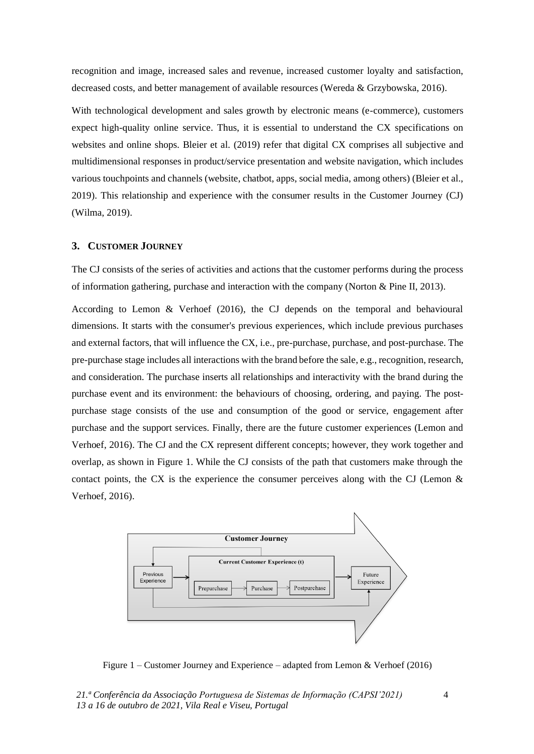recognition and image, increased sales and revenue, increased customer loyalty and satisfaction, decreased costs, and better management of available resources (Wereda & Grzybowska, 2016).

With technological development and sales growth by electronic means (e-commerce), customers expect high-quality online service. Thus, it is essential to understand the CX specifications on websites and online shops. Bleier et al. (2019) refer that digital CX comprises all subjective and multidimensional responses in product/service presentation and website navigation, which includes various touchpoints and channels (website, chatbot, apps, social media, among others) (Bleier et al., 2019). This relationship and experience with the consumer results in the Customer Journey (CJ) (Wilma, 2019).

#### **3. CUSTOMER JOURNEY**

The CJ consists of the series of activities and actions that the customer performs during the process of information gathering, purchase and interaction with the company (Norton & Pine II, 2013).

According to Lemon & Verhoef (2016), the CJ depends on the temporal and behavioural dimensions. It starts with the consumer's previous experiences, which include previous purchases and external factors, that will influence the CX, i.e., pre-purchase, purchase, and post-purchase. The pre-purchase stage includes all interactions with the brand before the sale, e.g., recognition, research, and consideration. The purchase inserts all relationships and interactivity with the brand during the purchase event and its environment: the behaviours of choosing, ordering, and paying. The postpurchase stage consists of the use and consumption of the good or service, engagement after purchase and the support services. Finally, there are the future customer experiences (Lemon and Verhoef, 2016). The CJ and the CX represent different concepts; however, they work together and overlap, as shown in Figure 1. While the CJ consists of the path that customers make through the contact points, the CX is the experience the consumer perceives along with the CJ (Lemon  $\&$ Verhoef, 2016).



Figure 1 – Customer Journey and Experience – adapted from Lemon & Verhoef (2016)

*21.ª Conferência da Associação Portuguesa de Sistemas de Informação (CAPSI'2021) 13 a 16 de outubro de 2021, Vila Real e Viseu, Portugal*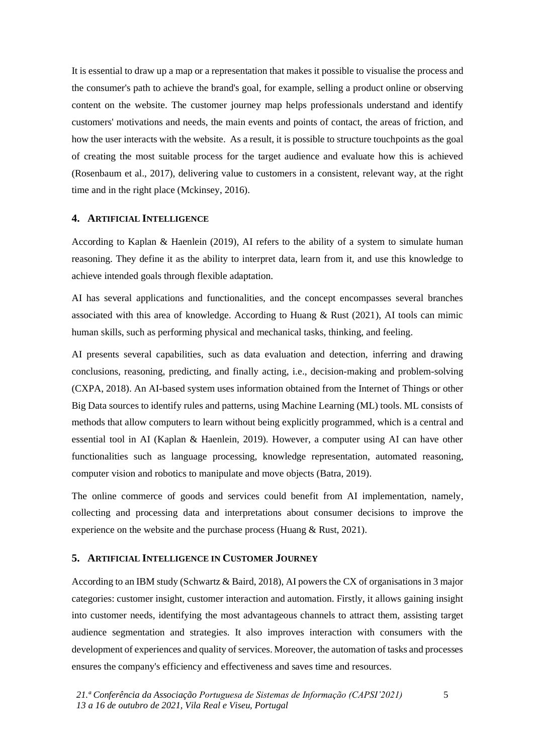It is essential to draw up a map or a representation that makes it possible to visualise the process and the consumer's path to achieve the brand's goal, for example, selling a product online or observing content on the website. The customer journey map helps professionals understand and identify customers' motivations and needs, the main events and points of contact, the areas of friction, and how the user interacts with the website. As a result, it is possible to structure touchpoints as the goal of creating the most suitable process for the target audience and evaluate how this is achieved (Rosenbaum et al., 2017), delivering value to customers in a consistent, relevant way, at the right time and in the right place (Mckinsey, 2016).

#### **4. ARTIFICIAL INTELLIGENCE**

According to Kaplan & Haenlein (2019), AI refers to the ability of a system to simulate human reasoning. They define it as the ability to interpret data, learn from it, and use this knowledge to achieve intended goals through flexible adaptation.

AI has several applications and functionalities, and the concept encompasses several branches associated with this area of knowledge. According to Huang & Rust (2021), AI tools can mimic human skills, such as performing physical and mechanical tasks, thinking, and feeling.

AI presents several capabilities, such as data evaluation and detection, inferring and drawing conclusions, reasoning, predicting, and finally acting, i.e., decision-making and problem-solving (CXPA, 2018). An AI-based system uses information obtained from the Internet of Things or other Big Data sources to identify rules and patterns, using Machine Learning (ML) tools. ML consists of methods that allow computers to learn without being explicitly programmed, which is a central and essential tool in AI (Kaplan & Haenlein, 2019). However, a computer using AI can have other functionalities such as language processing, knowledge representation, automated reasoning, computer vision and robotics to manipulate and move objects (Batra, 2019).

The online commerce of goods and services could benefit from AI implementation, namely, collecting and processing data and interpretations about consumer decisions to improve the experience on the website and the purchase process (Huang & Rust, 2021).

#### **5. ARTIFICIAL INTELLIGENCE IN CUSTOMER JOURNEY**

According to an IBM study (Schwartz & Baird, 2018), AI powers the CX of organisations in 3 major categories: customer insight, customer interaction and automation. Firstly, it allows gaining insight into customer needs, identifying the most advantageous channels to attract them, assisting target audience segmentation and strategies. It also improves interaction with consumers with the development of experiences and quality of services. Moreover, the automation of tasks and processes ensures the company's efficiency and effectiveness and saves time and resources.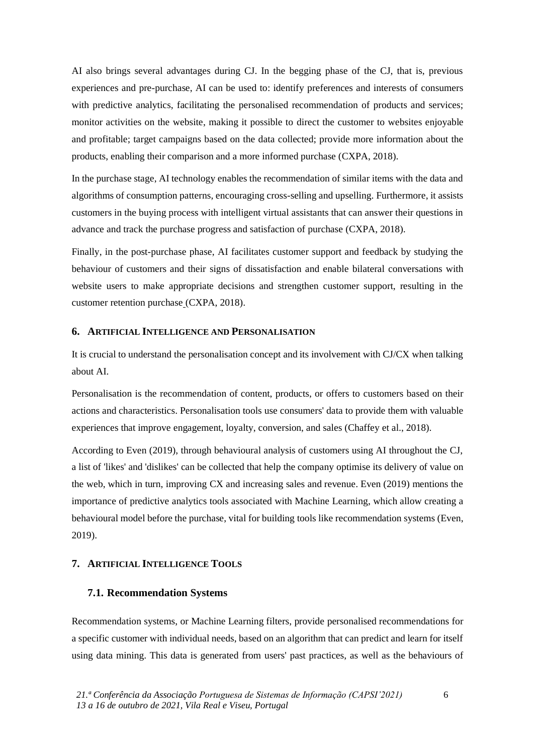AI also brings several advantages during CJ. In the begging phase of the CJ, that is, previous experiences and pre-purchase, AI can be used to: identify preferences and interests of consumers with predictive analytics, facilitating the personalised recommendation of products and services; monitor activities on the website, making it possible to direct the customer to websites enjoyable and profitable; target campaigns based on the data collected; provide more information about the products, enabling their comparison and a more informed purchase (CXPA, 2018).

In the purchase stage, AI technology enables the recommendation of similar items with the data and algorithms of consumption patterns, encouraging cross-selling and upselling. Furthermore, it assists customers in the buying process with intelligent virtual assistants that can answer their questions in advance and track the purchase progress and satisfaction of purchase (CXPA, 2018).

Finally, in the post-purchase phase, AI facilitates customer support and feedback by studying the behaviour of customers and their signs of dissatisfaction and enable bilateral conversations with website users to make appropriate decisions and strengthen customer support, resulting in the customer retention purchase (CXPA, 2018).

#### **6. ARTIFICIAL INTELLIGENCE AND PERSONALISATION**

It is crucial to understand the personalisation concept and its involvement with CJ/CX when talking about AI.

Personalisation is the recommendation of content, products, or offers to customers based on their actions and characteristics. Personalisation tools use consumers' data to provide them with valuable experiences that improve engagement, loyalty, conversion, and sales (Chaffey et al., 2018).

According to Even (2019), through behavioural analysis of customers using AI throughout the CJ, a list of 'likes' and 'dislikes' can be collected that help the company optimise its delivery of value on the web, which in turn, improving CX and increasing sales and revenue. Even (2019) mentions the importance of predictive analytics tools associated with Machine Learning, which allow creating a behavioural model before the purchase, vital for building tools like recommendation systems (Even, 2019).

# **7. ARTIFICIAL INTELLIGENCE TOOLS**

# **7.1. Recommendation Systems**

Recommendation systems, or Machine Learning filters, provide personalised recommendations for a specific customer with individual needs, based on an algorithm that can predict and learn for itself using data mining. This data is generated from users' past practices, as well as the behaviours of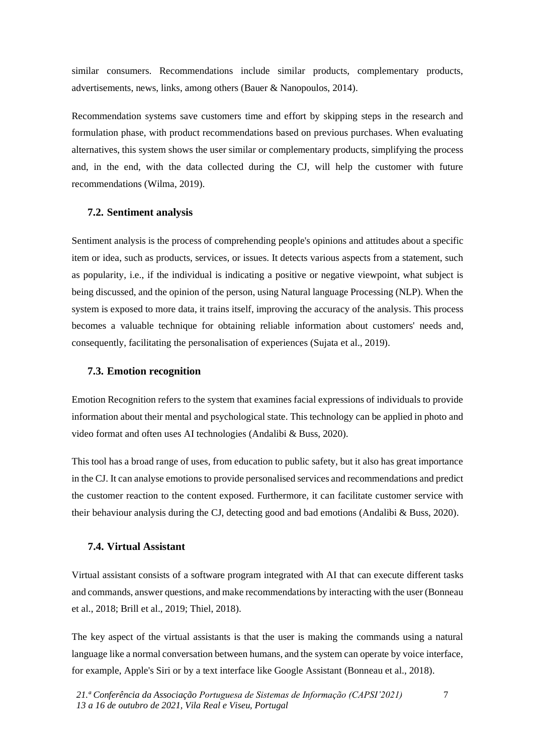similar consumers. Recommendations include similar products, complementary products, advertisements, news, links, among others (Bauer & Nanopoulos, 2014).

Recommendation systems save customers time and effort by skipping steps in the research and formulation phase, with product recommendations based on previous purchases. When evaluating alternatives, this system shows the user similar or complementary products, simplifying the process and, in the end, with the data collected during the CJ, will help the customer with future recommendations (Wilma, 2019).

#### **7.2. Sentiment analysis**

Sentiment analysis is the process of comprehending people's opinions and attitudes about a specific item or idea, such as products, services, or issues. It detects various aspects from a statement, such as popularity, i.e., if the individual is indicating a positive or negative viewpoint, what subject is being discussed, and the opinion of the person, using Natural language Processing (NLP). When the system is exposed to more data, it trains itself, improving the accuracy of the analysis. This process becomes a valuable technique for obtaining reliable information about customers' needs and, consequently, facilitating the personalisation of experiences (Sujata et al., 2019).

#### **7.3. Emotion recognition**

Emotion Recognition refers to the system that examines facial expressions of individuals to provide information about their mental and psychological state. This technology can be applied in photo and video format and often uses AI technologies (Andalibi & Buss, 2020).

This tool has a broad range of uses, from education to public safety, but it also has great importance in the CJ. It can analyse emotions to provide personalised services and recommendations and predict the customer reaction to the content exposed. Furthermore, it can facilitate customer service with their behaviour analysis during the CJ, detecting good and bad emotions (Andalibi & Buss, 2020).

#### **7.4. Virtual Assistant**

Virtual assistant consists of a software program integrated with AI that can execute different tasks and commands, answer questions, and make recommendations by interacting with the user (Bonneau et al., 2018; Brill et al., 2019; Thiel, 2018).

The key aspect of the virtual assistants is that the user is making the commands using a natural language like a normal conversation between humans, and the system can operate by voice interface, for example, Apple's Siri or by a text interface like Google Assistant (Bonneau et al., 2018).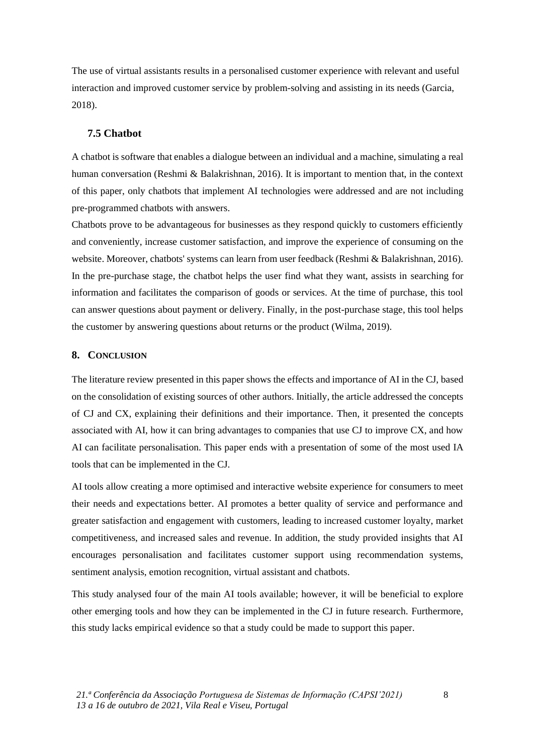The use of virtual assistants results in a personalised customer experience with relevant and useful interaction and improved customer service by problem-solving and assisting in its needs (Garcia, 2018).

#### **7.5 Chatbot**

A chatbot is software that enables a dialogue between an individual and a machine, simulating a real human conversation (Reshmi & Balakrishnan, 2016). It is important to mention that, in the context of this paper, only chatbots that implement AI technologies were addressed and are not including pre-programmed chatbots with answers.

Chatbots prove to be advantageous for businesses as they respond quickly to customers efficiently and conveniently, increase customer satisfaction, and improve the experience of consuming on the website. Moreover, chatbots' systems can learn from user feedback (Reshmi & Balakrishnan, 2016). In the pre-purchase stage, the chatbot helps the user find what they want, assists in searching for information and facilitates the comparison of goods or services. At the time of purchase, this tool can answer questions about payment or delivery. Finally, in the post-purchase stage, this tool helps the customer by answering questions about returns or the product (Wilma, 2019).

#### **8. CONCLUSION**

The literature review presented in this paper shows the effects and importance of AI in the CJ, based on the consolidation of existing sources of other authors. Initially, the article addressed the concepts of CJ and CX, explaining their definitions and their importance. Then, it presented the concepts associated with AI, how it can bring advantages to companies that use CJ to improve CX, and how AI can facilitate personalisation. This paper ends with a presentation of some of the most used IA tools that can be implemented in the CJ.

AI tools allow creating a more optimised and interactive website experience for consumers to meet their needs and expectations better. AI promotes a better quality of service and performance and greater satisfaction and engagement with customers, leading to increased customer loyalty, market competitiveness, and increased sales and revenue. In addition, the study provided insights that AI encourages personalisation and facilitates customer support using recommendation systems, sentiment analysis, emotion recognition, virtual assistant and chatbots.

This study analysed four of the main AI tools available; however, it will be beneficial to explore other emerging tools and how they can be implemented in the CJ in future research. Furthermore, this study lacks empirical evidence so that a study could be made to support this paper.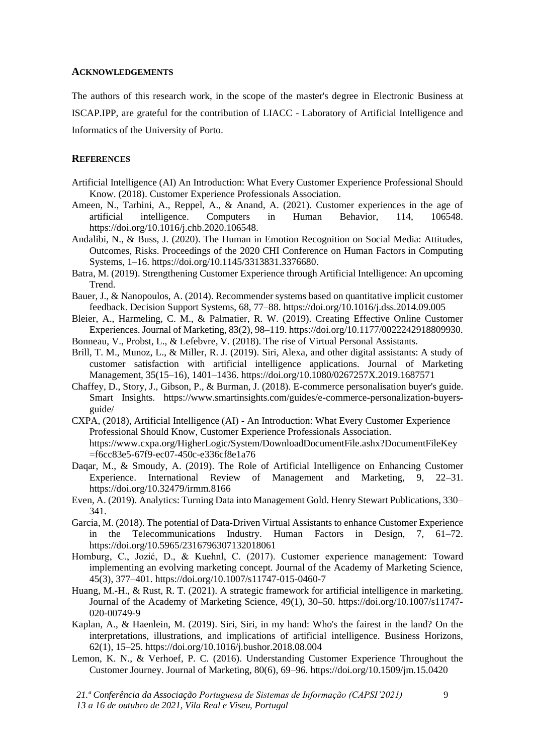#### **ACKNOWLEDGEMENTS**

The authors of this research work, in the scope of the master's degree in Electronic Business at ISCAP.IPP, are grateful for the contribution of LIACC - Laboratory of Artificial Intelligence and Informatics of the University of Porto.

#### **REFERENCES**

- Artificial Intelligence (AI) An Introduction: What Every Customer Experience Professional Should Know. (2018). Customer Experience Professionals Association.
- Ameen, N., Tarhini, A., Reppel, A., & Anand, A. (2021). Customer experiences in the age of artificial intelligence. Computers in Human Behavior, 114, 106548. https://doi.org/10.1016/j.chb.2020.106548.
- Andalibi, N., & Buss, J. (2020). The Human in Emotion Recognition on Social Media: Attitudes, Outcomes, Risks. Proceedings of the 2020 CHI Conference on Human Factors in Computing Systems, 1–16. https://doi.org/10.1145/3313831.3376680.
- Batra, M. (2019). Strengthening Customer Experience through Artificial Intelligence: An upcoming Trend.
- Bauer, J., & Nanopoulos, A. (2014). Recommender systems based on quantitative implicit customer feedback. Decision Support Systems, 68, 77–88. https://doi.org/10.1016/j.dss.2014.09.005
- Bleier, A., Harmeling, C. M., & Palmatier, R. W. (2019). Creating Effective Online Customer Experiences. Journal of Marketing, 83(2), 98–119. https://doi.org/10.1177/0022242918809930.
- Bonneau, V., Probst, L., & Lefebvre, V. (2018). The rise of Virtual Personal Assistants.
- Brill, T. M., Munoz, L., & Miller, R. J. (2019). Siri, Alexa, and other digital assistants: A study of customer satisfaction with artificial intelligence applications. Journal of Marketing Management, 35(15–16), 1401–1436. https://doi.org/10.1080/0267257X.2019.1687571
- Chaffey, D., Story, J., Gibson, P., & Burman, J. (2018). E-commerce personalisation buyer's guide. Smart Insights. [https://www.smartinsights.com/guides/e-commerce-personalization-buyers](https://www.smartinsights.com/guides/e-commerce-personalization-buyers-guide/)[guide/](https://www.smartinsights.com/guides/e-commerce-personalization-buyers-guide/)
- CXPA, (2018), Artificial Intelligence (AI) An Introduction: What Every Customer Experience Professional Should Know, Customer Experience Professionals Association. https://www.cxpa.org/HigherLogic/System/DownloadDocumentFile.ashx?DocumentFileKey =f6cc83e5-67f9-ec07-450c-e336cf8e1a76
- Daqar, M., & Smoudy, A. (2019). The Role of Artificial Intelligence on Enhancing Customer Experience. International Review of Management and Marketing, 9, 22–31. https://doi.org/10.32479/irmm.8166
- Even, A. (2019). Analytics: Turning Data into Management Gold. Henry Stewart Publications, 330– 341.
- Garcia, M. (2018). The potential of Data-Driven Virtual Assistants to enhance Customer Experience in the Telecommunications Industry. Human Factors in Design, 7, 61–72. https://doi.org/10.5965/2316796307132018061
- Homburg, C., Jozić, D., & Kuehnl, C. (2017). Customer experience management: Toward implementing an evolving marketing concept. Journal of the Academy of Marketing Science, 45(3), 377–401. https://doi.org/10.1007/s11747-015-0460-7
- Huang, M.-H., & Rust, R. T. (2021). A strategic framework for artificial intelligence in marketing. Journal of the Academy of Marketing Science, 49(1), 30–50. https://doi.org/10.1007/s11747- 020-00749-9
- Kaplan, A., & Haenlein, M. (2019). Siri, Siri, in my hand: Who's the fairest in the land? On the interpretations, illustrations, and implications of artificial intelligence. Business Horizons, 62(1), 15–25. https://doi.org/10.1016/j.bushor.2018.08.004
- Lemon, K. N., & Verhoef, P. C. (2016). Understanding Customer Experience Throughout the Customer Journey. Journal of Marketing, 80(6), 69–96. https://doi.org/10.1509/jm.15.0420

*21.ª Conferência da Associação Portuguesa de Sistemas de Informação (CAPSI'2021) 13 a 16 de outubro de 2021, Vila Real e Viseu, Portugal*